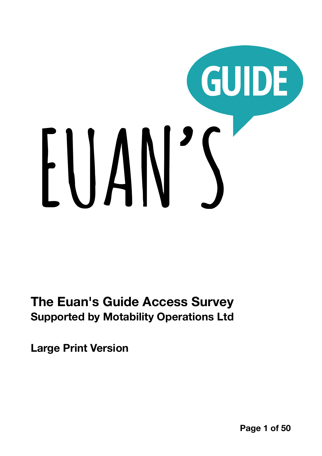# GUIDE EUAN'S

**The Euan's Guide Access Survey Supported by Motability Operations Ltd** 

<span id="page-0-0"></span>**Large Print Version** 

**Page 1 of 50**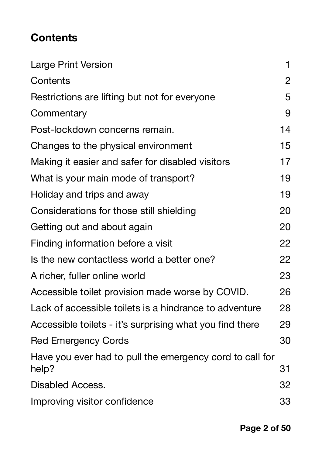## <span id="page-1-0"></span>**Contents**

| <b>Large Print Version</b>                                        | 1              |
|-------------------------------------------------------------------|----------------|
| Contents                                                          | $\overline{2}$ |
| Restrictions are lifting but not for everyone                     | 5              |
| Commentary                                                        | 9              |
| Post-lockdown concerns remain.                                    | 14             |
| Changes to the physical environment                               | 15             |
| Making it easier and safer for disabled visitors                  | 17             |
| What is your main mode of transport?                              | 19             |
| Holiday and trips and away                                        | 19             |
| Considerations for those still shielding                          | 20             |
| Getting out and about again                                       | 20             |
| Finding information before a visit                                | 22             |
| Is the new contactless world a better one?                        | 22             |
| A richer, fuller online world                                     | 23             |
| Accessible toilet provision made worse by COVID.                  | 26             |
| Lack of accessible toilets is a hindrance to adventure            | 28             |
| Accessible toilets - it's surprising what you find there          | 29             |
| <b>Red Emergency Cords</b>                                        | 30             |
| Have you ever had to pull the emergency cord to call for<br>help? | 31             |
| Disabled Access.                                                  | 32             |
| Improving visitor confidence                                      | 33             |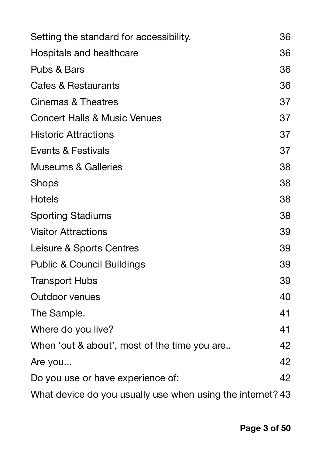| Setting the standard for accessibility.                    | 36 |
|------------------------------------------------------------|----|
| Hospitals and healthcare                                   | 36 |
| Pubs & Bars                                                | 36 |
| <b>Cafes &amp; Restaurants</b>                             | 36 |
| Cinemas & Theatres                                         | 37 |
| <b>Concert Halls &amp; Music Venues</b>                    | 37 |
| <b>Historic Attractions</b>                                | 37 |
| Events & Festivals                                         | 37 |
| <b>Museums &amp; Galleries</b>                             | 38 |
| <b>Shops</b>                                               | 38 |
| <b>Hotels</b>                                              | 38 |
| <b>Sporting Stadiums</b>                                   | 38 |
| <b>Visitor Attractions</b>                                 | 39 |
| Leisure & Sports Centres                                   | 39 |
| <b>Public &amp; Council Buildings</b>                      | 39 |
| <b>Transport Hubs</b>                                      | 39 |
| <b>Outdoor venues</b>                                      | 40 |
| The Sample.                                                | 41 |
| Where do you live?                                         | 41 |
| When 'out & about', most of the time you are               | 42 |
| Are you                                                    | 42 |
| Do you use or have experience of:                          | 42 |
| What device do you usually use when using the internet? 43 |    |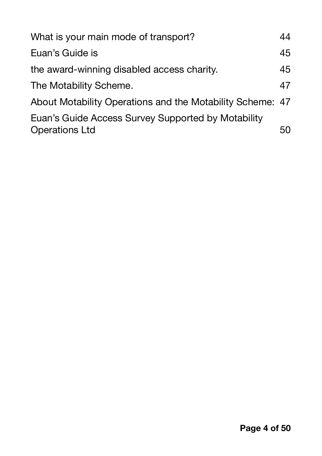| 44                                                        |
|-----------------------------------------------------------|
| 45                                                        |
| 45                                                        |
| 47                                                        |
| About Motability Operations and the Motability Scheme: 47 |
| 50                                                        |
|                                                           |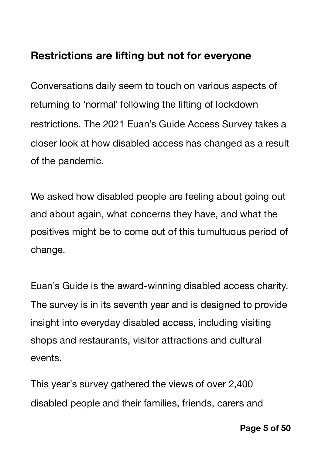## <span id="page-4-0"></span>**Restrictions are lifting but not for everyone**

Conversations daily seem to touch on various aspects of returning to 'normal' following the lifting of lockdown restrictions. The 2021 Euan"s Guide Access Survey takes a closer look at how disabled access has changed as a result of the pandemic.

We asked how disabled people are feeling about going out and about again, what concerns they have, and what the positives might be to come out of this tumultuous period of change.

Euan"s Guide is the award-winning disabled access charity. The survey is in its seventh year and is designed to provide insight into everyday disabled access, including visiting shops and restaurants, visitor attractions and cultural events.

This year's survey gathered the views of over 2,400 disabled people and their families, friends, carers and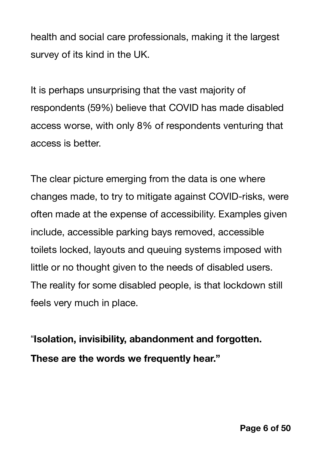health and social care professionals, making it the largest survey of its kind in the UK.

It is perhaps unsurprising that the vast majority of respondents (59%) believe that COVID has made disabled access worse, with only 8% of respondents venturing that access is better.

The clear picture emerging from the data is one where changes made, to try to mitigate against COVID-risks, were often made at the expense of accessibility. Examples given include, accessible parking bays removed, accessible toilets locked, layouts and queuing systems imposed with little or no thought given to the needs of disabled users. The reality for some disabled people, is that lockdown still feels very much in place.

\$**Isolation, invisibility, abandonment and forgotten. These are the words we frequently hear."**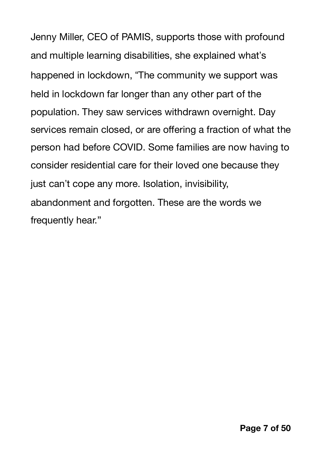Jenny Miller, CEO of PAMIS, supports those with profound and multiple learning disabilities, she explained what"s happened in lockdown, "The community we support was held in lockdown far longer than any other part of the population. They saw services withdrawn overnight. Day services remain closed, or are offering a fraction of what the person had before COVID. Some families are now having to consider residential care for their loved one because they just can"t cope any more. Isolation, invisibility, abandonment and forgotten. These are the words we frequently hear."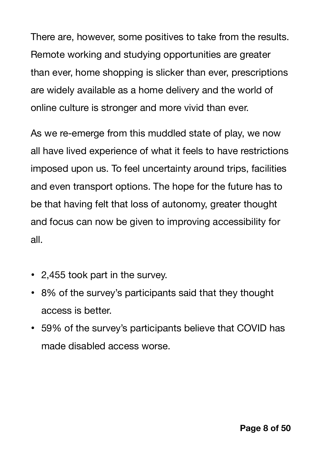There are, however, some positives to take from the results. Remote working and studying opportunities are greater than ever, home shopping is slicker than ever, prescriptions are widely available as a home delivery and the world of online culture is stronger and more vivid than ever.

As we re-emerge from this muddled state of play, we now all have lived experience of what it feels to have restrictions imposed upon us. To feel uncertainty around trips, facilities and even transport options. The hope for the future has to be that having felt that loss of autonomy, greater thought and focus can now be given to improving accessibility for all.

- 2,455 took part in the survey.
- 8% of the survey's participants said that they thought access is better.
- 59% of the survey's participants believe that COVID has made disabled access worse.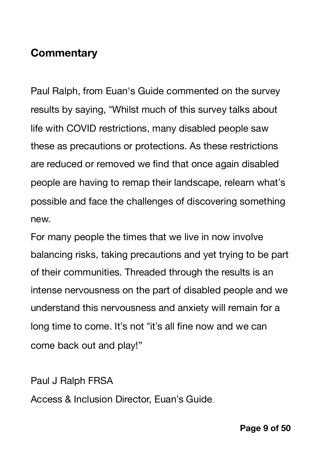## <span id="page-8-0"></span>**Commentary**

Paul Ralph, from Euan's Guide commented on the survey results by saying, "Whilst much of this survey talks about life with COVID restrictions, many disabled people saw these as precautions or protections. As these restrictions are reduced or removed we find that once again disabled people are having to remap their landscape, relearn what"s possible and face the challenges of discovering something new.

For many people the times that we live in now involve balancing risks, taking precautions and yet trying to be part of their communities. Threaded through the results is an intense nervousness on the part of disabled people and we understand this nervousness and anxiety will remain for a long time to come. It's not "it's all fine now and we can come back out and play!"

Paul J Ralph FRSA

Access & Inclusion Director, Euan"s Guide.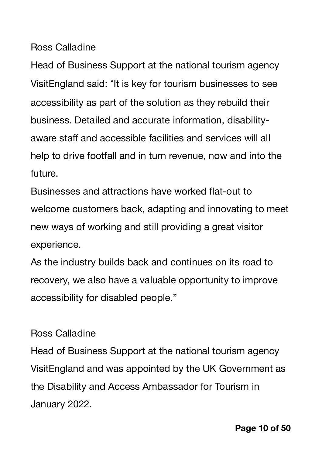Ross Calladine

Head of Business Support at the national tourism agency VisitEngland said: "It is key for tourism businesses to see accessibility as part of the solution as they rebuild their business. Detailed and accurate information, disabilityaware staff and accessible facilities and services will all help to drive footfall and in turn revenue, now and into the future.

Businesses and attractions have worked flat-out to welcome customers back, adapting and innovating to meet new ways of working and still providing a great visitor experience.

As the industry builds back and continues on its road to recovery, we also have a valuable opportunity to improve accessibility for disabled people."

#### Ross Calladine

Head of Business Support at the national tourism agency VisitEngland and was appointed by the UK Government as the Disability and Access Ambassador for Tourism in January 2022.

**Page 10 of 50**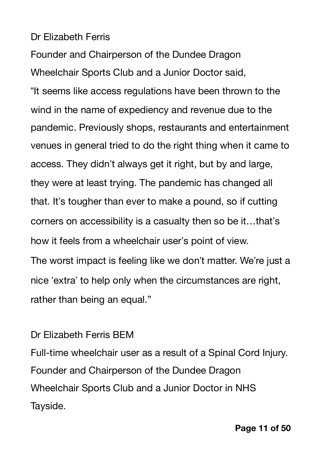#### Dr Elizabeth Ferris

Founder and Chairperson of the Dundee Dragon Wheelchair Sports Club and a Junior Doctor said, "It seems like access regulations have been thrown to the wind in the name of expediency and revenue due to the pandemic. Previously shops, restaurants and entertainment venues in general tried to do the right thing when it came to access. They didn"t always get it right, but by and large, they were at least trying. The pandemic has changed all that. It's tougher than ever to make a pound, so if cutting corners on accessibility is a casualty then so be it…that"s how it feels from a wheelchair user's point of view. The worst impact is feeling like we don't matter. We're just a nice 'extra' to help only when the circumstances are right, rather than being an equal."

#### Dr Elizabeth Ferris BEM

Full-time wheelchair user as a result of a Spinal Cord Injury. Founder and Chairperson of the Dundee Dragon Wheelchair Sports Club and a Junior Doctor in NHS Tayside.

**Page 11 of 50**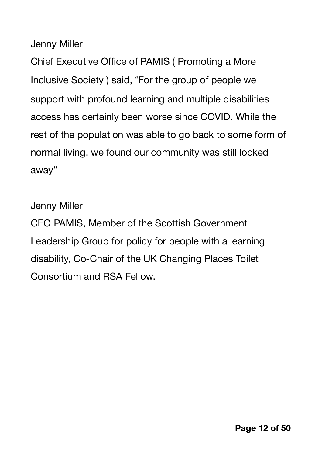Jenny Miller

Chief Executive Office of PAMIS ( Promoting a More Inclusive Society ) said, "For the group of people we support with profound learning and multiple disabilities access has certainly been worse since COVID. While the rest of the population was able to go back to some form of normal living, we found our community was still locked away"

Jenny Miller

CEO PAMIS, Member of the Scottish Government Leadership Group for policy for people with a learning disability, Co-Chair of the UK Changing Places Toilet Consortium and RSA Fellow.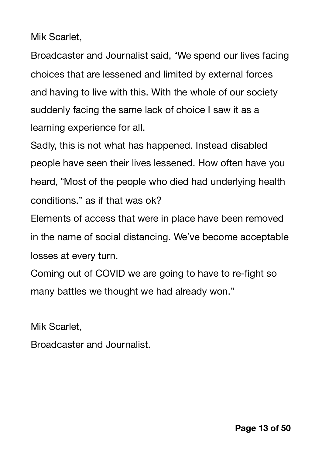Mik Scarlet,

Broadcaster and Journalist said, "We spend our lives facing choices that are lessened and limited by external forces and having to live with this. With the whole of our society suddenly facing the same lack of choice I saw it as a learning experience for all.

Sadly, this is not what has happened. Instead disabled people have seen their lives lessened. How often have you heard, "Most of the people who died had underlying health conditions." as if that was ok?

Elements of access that were in place have been removed in the name of social distancing. We"ve become acceptable losses at every turn.

Coming out of COVID we are going to have to re-fight so many battles we thought we had already won."

Mik Scarlet,

Broadcaster and Journalist.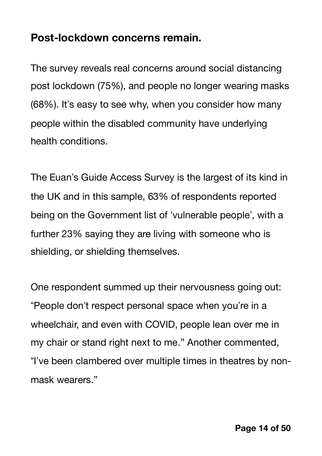### <span id="page-13-0"></span>**Post-lockdown concerns remain.**

The survey reveals real concerns around social distancing post lockdown (75%), and people no longer wearing masks (68%). It's easy to see why, when you consider how many people within the disabled community have underlying health conditions.

The Euan"s Guide Access Survey is the largest of its kind in the UK and in this sample, 63% of respondents reported being on the Government list of 'vulnerable people', with a further 23% saying they are living with someone who is shielding, or shielding themselves.

One respondent summed up their nervousness going out: "People don't respect personal space when you're in a wheelchair, and even with COVID, people lean over me in my chair or stand right next to me." Another commented, "I've been clambered over multiple times in theatres by nonmask wearers."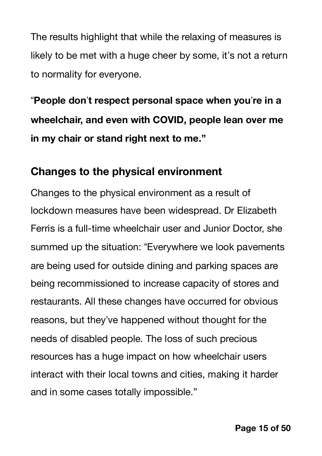The results highlight that while the relaxing of measures is likely to be met with a huge cheer by some, it's not a return to normality for everyone.

\$**People don**"**t respect personal space when you**"**re in a wheelchair, and even with COVID, people lean over me in my chair or stand right next to me."**

#### <span id="page-14-0"></span>**Changes to the physical environment**

Changes to the physical environment as a result of lockdown measures have been widespread. Dr Elizabeth Ferris is a full-time wheelchair user and Junior Doctor, she summed up the situation: "Everywhere we look pavements are being used for outside dining and parking spaces are being recommissioned to increase capacity of stores and restaurants. All these changes have occurred for obvious reasons, but they"ve happened without thought for the needs of disabled people. The loss of such precious resources has a huge impact on how wheelchair users interact with their local towns and cities, making it harder and in some cases totally impossible."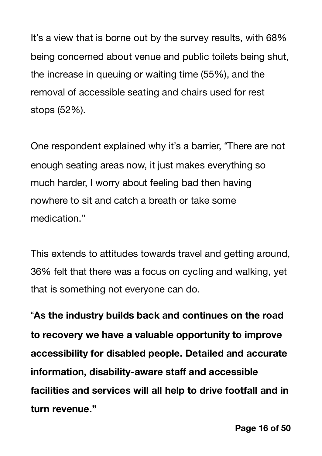It's a view that is borne out by the survey results, with 68% being concerned about venue and public toilets being shut, the increase in queuing or waiting time (55%), and the removal of accessible seating and chairs used for rest stops (52%).

One respondent explained why it's a barrier, "There are not enough seating areas now, it just makes everything so much harder, I worry about feeling bad then having nowhere to sit and catch a breath or take some medication."

This extends to attitudes towards travel and getting around, 36% felt that there was a focus on cycling and walking, yet that is something not everyone can do.

\$**As the industry builds back and continues on the road to recovery we have a valuable opportunity to improve accessibility for disabled people. Detailed and accurate information, disability-aware staff and accessible facilities and services will all help to drive footfall and in turn revenue."**

**Page 16 of 50**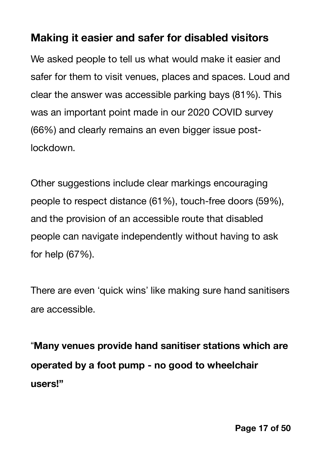#### <span id="page-16-0"></span>**Making it easier and safer for disabled visitors**

We asked people to tell us what would make it easier and safer for them to visit venues, places and spaces. Loud and clear the answer was accessible parking bays (81%). This was an important point made in our 2020 COVID survey (66%) and clearly remains an even bigger issue postlockdown.

Other suggestions include clear markings encouraging people to respect distance (61%), touch-free doors (59%), and the provision of an accessible route that disabled people can navigate independently without having to ask for help (67%).

There are even 'quick wins' like making sure hand sanitisers are accessible.

\$**Many venues provide hand sanitiser stations which are operated by a foot pump - no good to wheelchair users!"**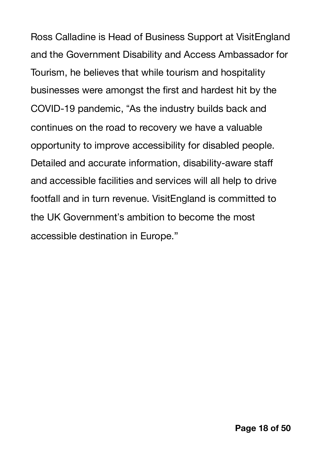Ross Calladine is Head of Business Support at VisitEngland and the Government Disability and Access Ambassador for Tourism, he believes that while tourism and hospitality businesses were amongst the first and hardest hit by the COVID-19 pandemic, "As the industry builds back and continues on the road to recovery we have a valuable opportunity to improve accessibility for disabled people. Detailed and accurate information, disability-aware staff and accessible facilities and services will all help to drive footfall and in turn revenue. VisitEngland is committed to the UK Government"s ambition to become the most accessible destination in Europe."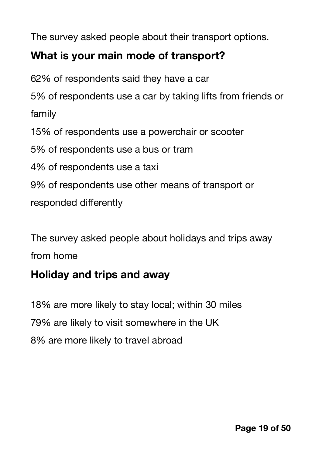The survey asked people about their transport options.

### <span id="page-18-0"></span>**What is your main mode of transport?**

62% of respondents said they have a car 5% of respondents use a car by taking lifts from friends or family 15% of respondents use a powerchair or scooter 5% of respondents use a bus or tram 4% of respondents use a taxi 9% of respondents use other means of transport or responded differently

The survey asked people about holidays and trips away from home

## <span id="page-18-1"></span>**Holiday and trips and away**

18% are more likely to stay local; within 30 miles 79% are likely to visit somewhere in the UK 8% are more likely to travel abroad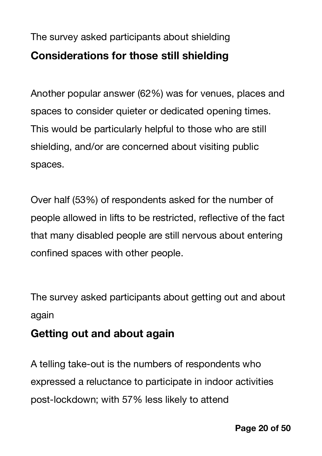## <span id="page-19-0"></span>The survey asked participants about shielding **Considerations for those still shielding**

Another popular answer (62%) was for venues, places and spaces to consider quieter or dedicated opening times. This would be particularly helpful to those who are still shielding, and/or are concerned about visiting public spaces.

Over half (53%) of respondents asked for the number of people allowed in lifts to be restricted, reflective of the fact that many disabled people are still nervous about entering confined spaces with other people.

The survey asked participants about getting out and about again

## <span id="page-19-1"></span>**Getting out and about again**

A telling take-out is the numbers of respondents who expressed a reluctance to participate in indoor activities post-lockdown; with 57% less likely to attend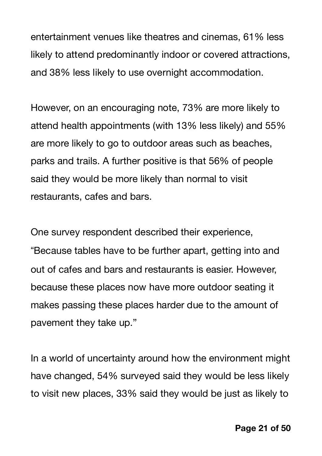entertainment venues like theatres and cinemas, 61% less likely to attend predominantly indoor or covered attractions, and 38% less likely to use overnight accommodation.

However, on an encouraging note, 73% are more likely to attend health appointments (with 13% less likely) and 55% are more likely to go to outdoor areas such as beaches, parks and trails. A further positive is that 56% of people said they would be more likely than normal to visit restaurants, cafes and bars.

One survey respondent described their experience, "Because tables have to be further apart, getting into and out of cafes and bars and restaurants is easier. However, because these places now have more outdoor seating it makes passing these places harder due to the amount of pavement they take up."

In a world of uncertainty around how the environment might have changed, 54% surveyed said they would be less likely to visit new places, 33% said they would be just as likely to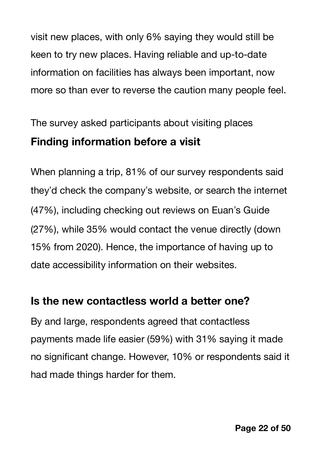visit new places, with only 6% saying they would still be keen to try new places. Having reliable and up-to-date information on facilities has always been important, now more so than ever to reverse the caution many people feel.

<span id="page-21-0"></span>The survey asked participants about visiting places **Finding information before a visit** 

When planning a trip, 81% of our survey respondents said they"d check the company"s website, or search the internet (47%), including checking out reviews on Euan"s Guide (27%), while 35% would contact the venue directly (down 15% from 2020). Hence, the importance of having up to date accessibility information on their websites.

## <span id="page-21-1"></span>**Is the new contactless world a better one?**

By and large, respondents agreed that contactless payments made life easier (59%) with 31% saying it made no significant change. However, 10% or respondents said it had made things harder for them.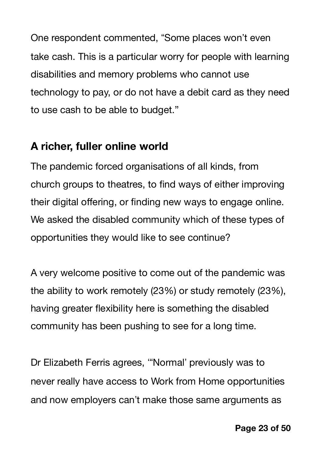One respondent commented, "Some places won't even take cash. This is a particular worry for people with learning disabilities and memory problems who cannot use technology to pay, or do not have a debit card as they need to use cash to be able to budget."

#### <span id="page-22-0"></span>**A richer, fuller online world**

The pandemic forced organisations of all kinds, from church groups to theatres, to find ways of either improving their digital offering, or finding new ways to engage online. We asked the disabled community which of these types of opportunities they would like to see continue?

A very welcome positive to come out of the pandemic was the ability to work remotely (23%) or study remotely (23%), having greater flexibility here is something the disabled community has been pushing to see for a long time.

Dr Elizabeth Ferris agrees, "Normal' previously was to never really have access to Work from Home opportunities and now employers can"t make those same arguments as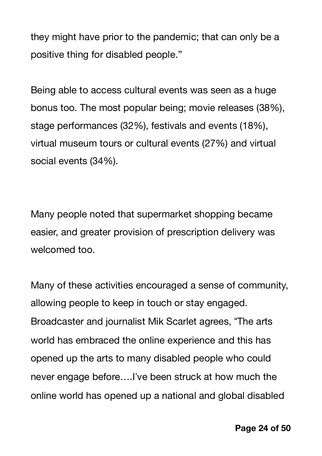they might have prior to the pandemic; that can only be a positive thing for disabled people."

Being able to access cultural events was seen as a huge bonus too. The most popular being; movie releases (38%), stage performances (32%), festivals and events (18%), virtual museum tours or cultural events (27%) and virtual social events (34%).

Many people noted that supermarket shopping became easier, and greater provision of prescription delivery was welcomed too.

Many of these activities encouraged a sense of community, allowing people to keep in touch or stay engaged. Broadcaster and journalist Mik Scarlet agrees, "The arts" world has embraced the online experience and this has opened up the arts to many disabled people who could never engage before....I've been struck at how much the online world has opened up a national and global disabled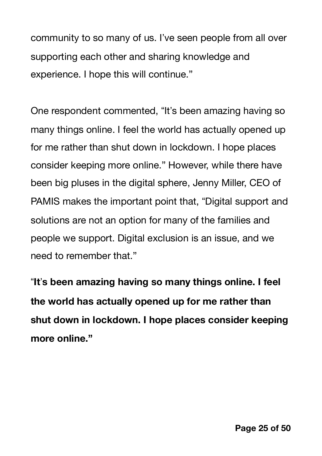community to so many of us. I've seen people from all over supporting each other and sharing knowledge and experience. I hope this will continue."

One respondent commented, "It's been amazing having so many things online. I feel the world has actually opened up for me rather than shut down in lockdown. I hope places consider keeping more online." However, while there have been big pluses in the digital sphere, Jenny Miller, CEO of PAMIS makes the important point that, "Digital support and solutions are not an option for many of the families and people we support. Digital exclusion is an issue, and we need to remember that."

\$**It**"**s been amazing having so many things online. I feel the world has actually opened up for me rather than shut down in lockdown. I hope places consider keeping more online."**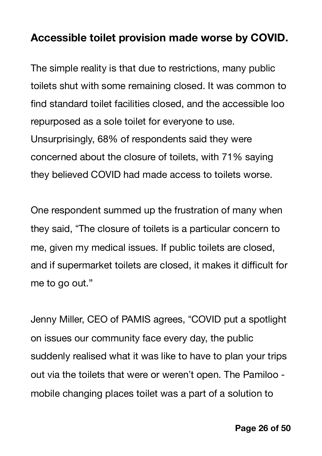#### <span id="page-25-0"></span>**Accessible toilet provision made worse by COVID.**

The simple reality is that due to restrictions, many public toilets shut with some remaining closed. It was common to find standard toilet facilities closed, and the accessible loo repurposed as a sole toilet for everyone to use. Unsurprisingly, 68% of respondents said they were concerned about the closure of toilets, with 71% saying they believed COVID had made access to toilets worse.

One respondent summed up the frustration of many when they said, "The closure of toilets is a particular concern to me, given my medical issues. If public toilets are closed, and if supermarket toilets are closed, it makes it difficult for me to go out."

Jenny Miller, CEO of PAMIS agrees, "COVID put a spotlight on issues our community face every day, the public suddenly realised what it was like to have to plan your trips out via the toilets that were or weren"t open. The Pamiloo mobile changing places toilet was a part of a solution to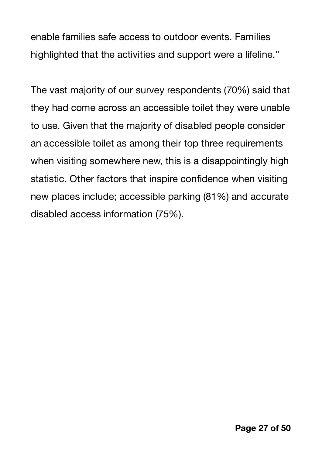enable families safe access to outdoor events. Families highlighted that the activities and support were a lifeline."

The vast majority of our survey respondents (70%) said that they had come across an accessible toilet they were unable to use. Given that the majority of disabled people consider an accessible toilet as among their top three requirements when visiting somewhere new, this is a disappointingly high statistic. Other factors that inspire confidence when visiting new places include; accessible parking (81%) and accurate disabled access information (75%).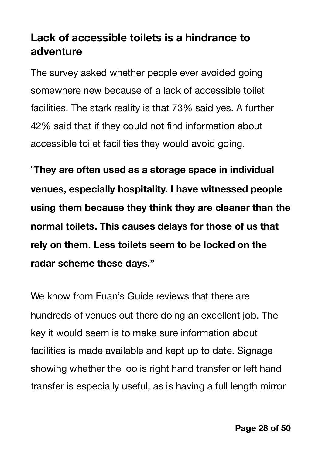## <span id="page-27-0"></span>**Lack of accessible toilets is a hindrance to adventure**

The survey asked whether people ever avoided going somewhere new because of a lack of accessible toilet facilities. The stark reality is that 73% said yes. A further 42% said that if they could not find information about accessible toilet facilities they would avoid going.

\$**They are often used as a storage space in individual venues, especially hospitality. I have witnessed people using them because they think they are cleaner than the normal toilets. This causes delays for those of us that rely on them. Less toilets seem to be locked on the radar scheme these days."**

We know from Euan's Guide reviews that there are hundreds of venues out there doing an excellent job. The key it would seem is to make sure information about facilities is made available and kept up to date. Signage showing whether the loo is right hand transfer or left hand transfer is especially useful, as is having a full length mirror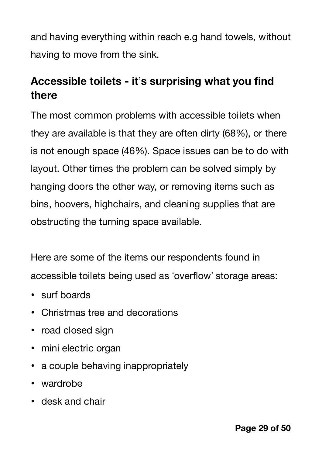and having everything within reach e.g hand towels, without having to move from the sink.

## <span id="page-28-0"></span>**Accessible toilets - it**"**s surprising what you find there**

The most common problems with accessible toilets when they are available is that they are often dirty (68%), or there is not enough space (46%). Space issues can be to do with layout. Other times the problem can be solved simply by hanging doors the other way, or removing items such as bins, hoovers, highchairs, and cleaning supplies that are obstructing the turning space available.

Here are some of the items our respondents found in accessible toilets being used as 'overflow' storage areas:

- surf boards
- Christmas tree and decorations
- road closed sign
- mini electric organ
- a couple behaving inappropriately
- wardrobe
- desk and chair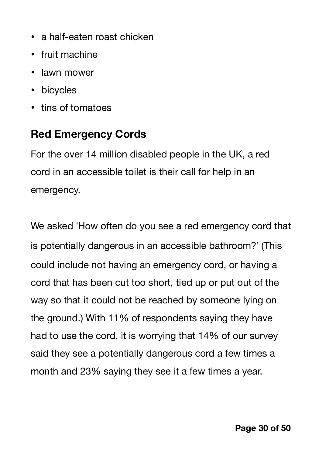- a half-eaten roast chicken
- fruit machine
- lawn mower
- bicycles
- tins of tomatoes

## <span id="page-29-0"></span>**Red Emergency Cords**

For the over 14 million disabled people in the UK, a red cord in an accessible toilet is their call for help in an emergency.

We asked 'How often do you see a red emergency cord that is potentially dangerous in an accessible bathroom?" (This could include not having an emergency cord, or having a cord that has been cut too short, tied up or put out of the way so that it could not be reached by someone lying on the ground.) With 11% of respondents saying they have had to use the cord, it is worrying that 14% of our survey said they see a potentially dangerous cord a few times a month and 23% saying they see it a few times a year.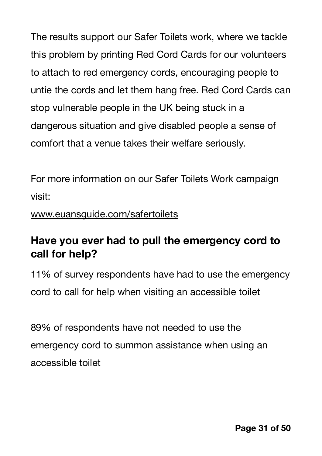The results support our Safer Toilets work, where we tackle this problem by printing Red Cord Cards for our volunteers to attach to red emergency cords, encouraging people to untie the cords and let them hang free. Red Cord Cards can stop vulnerable people in the UK being stuck in a dangerous situation and give disabled people a sense of comfort that a venue takes their welfare seriously.

For more information on our Safer Toilets Work campaign visit:

#### [www.euansguide.com/safertoilets](http://www.euansguide.com/safertoilets)

## <span id="page-30-0"></span>**Have you ever had to pull the emergency cord to call for help?**

11% of survey respondents have had to use the emergency cord to call for help when visiting an accessible toilet

89% of respondents have not needed to use the emergency cord to summon assistance when using an accessible toilet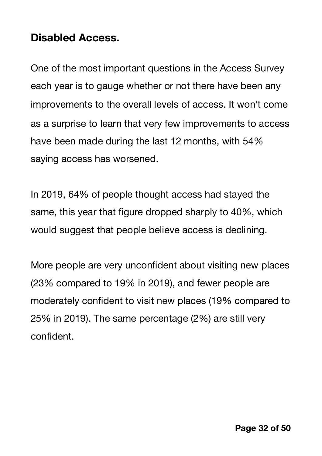#### <span id="page-31-0"></span>**Disabled Access.**

One of the most important questions in the Access Survey each year is to gauge whether or not there have been any improvements to the overall levels of access. It won"t come as a surprise to learn that very few improvements to access have been made during the last 12 months, with 54% saying access has worsened.

In 2019, 64% of people thought access had stayed the same, this year that figure dropped sharply to 40%, which would suggest that people believe access is declining.

More people are very unconfident about visiting new places (23% compared to 19% in 2019), and fewer people are moderately confident to visit new places (19% compared to 25% in 2019). The same percentage (2%) are still very confident.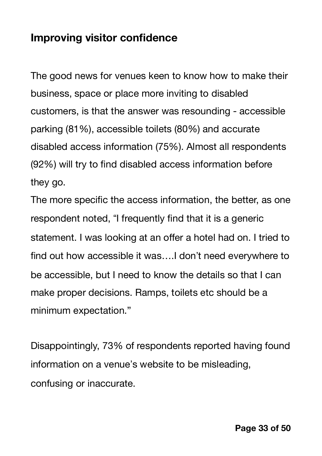#### <span id="page-32-0"></span>**Improving visitor confidence**

The good news for venues keen to know how to make their business, space or place more inviting to disabled customers, is that the answer was resounding - accessible parking (81%), accessible toilets (80%) and accurate disabled access information (75%). Almost all respondents (92%) will try to find disabled access information before they go.

The more specific the access information, the better, as one respondent noted, "I frequently find that it is a generic statement. I was looking at an offer a hotel had on. I tried to find out how accessible it was….I don"t need everywhere to be accessible, but I need to know the details so that I can make proper decisions. Ramps, toilets etc should be a minimum expectation."

Disappointingly, 73% of respondents reported having found information on a venue's website to be misleading, confusing or inaccurate.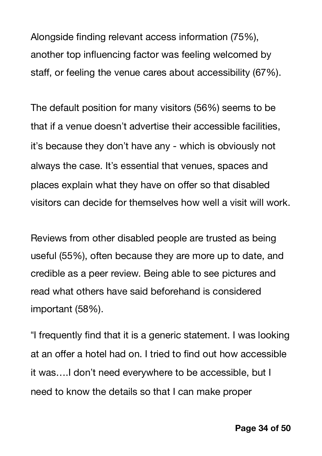Alongside finding relevant access information (75%), another top influencing factor was feeling welcomed by staff, or feeling the venue cares about accessibility (67%).

The default position for many visitors (56%) seems to be that if a venue doesn't advertise their accessible facilities, it"s because they don"t have any - which is obviously not always the case. It's essential that venues, spaces and places explain what they have on offer so that disabled visitors can decide for themselves how well a visit will work.

Reviews from other disabled people are trusted as being useful (55%), often because they are more up to date, and credible as a peer review. Being able to see pictures and read what others have said beforehand is considered important (58%).

"I frequently find that it is a generic statement. I was looking at an offer a hotel had on. I tried to find out how accessible it was….I don"t need everywhere to be accessible, but I need to know the details so that I can make proper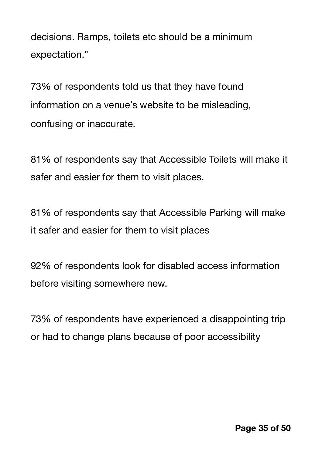decisions. Ramps, toilets etc should be a minimum expectation."

73% of respondents told us that they have found information on a venue's website to be misleading, confusing or inaccurate.

81% of respondents say that Accessible Toilets will make it safer and easier for them to visit places.

81% of respondents say that Accessible Parking will make it safer and easier for them to visit places

92% of respondents look for disabled access information before visiting somewhere new.

73% of respondents have experienced a disappointing trip or had to change plans because of poor accessibility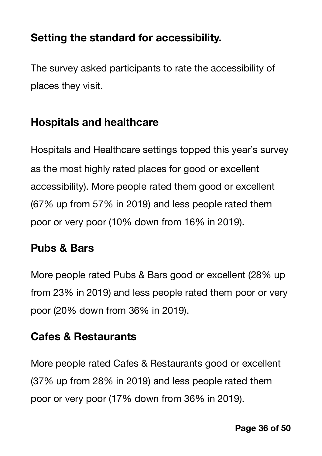## <span id="page-35-0"></span>**Setting the standard for accessibility.**

The survey asked participants to rate the accessibility of places they visit.

## <span id="page-35-1"></span>**Hospitals and healthcare**

Hospitals and Healthcare settings topped this year"s survey as the most highly rated places for good or excellent accessibility). More people rated them good or excellent (67% up from 57% in 2019) and less people rated them poor or very poor (10% down from 16% in 2019).

## <span id="page-35-2"></span>**Pubs & Bars**

More people rated Pubs & Bars good or excellent (28% up from 23% in 2019) and less people rated them poor or very poor (20% down from 36% in 2019).

## <span id="page-35-3"></span>**Cafes & Restaurants**

More people rated Cafes & Restaurants good or excellent (37% up from 28% in 2019) and less people rated them poor or very poor (17% down from 36% in 2019).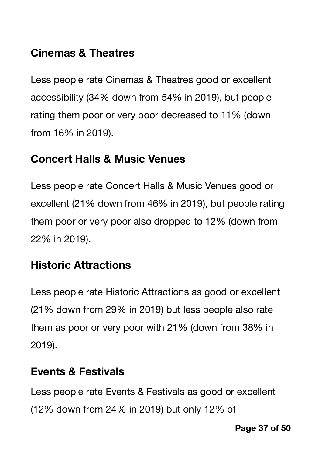## <span id="page-36-0"></span>**Cinemas & Theatres**

Less people rate Cinemas & Theatres good or excellent accessibility (34% down from 54% in 2019), but people rating them poor or very poor decreased to 11% (down from 16% in 2019).

## <span id="page-36-1"></span>**Concert Halls & Music Venues**

Less people rate Concert Halls & Music Venues good or excellent (21% down from 46% in 2019), but people rating them poor or very poor also dropped to 12% (down from 22% in 2019).

## <span id="page-36-2"></span>**Historic Attractions**

Less people rate Historic Attractions as good or excellent (21% down from 29% in 2019) but less people also rate them as poor or very poor with 21% (down from 38% in 2019).

## <span id="page-36-3"></span>**Events & Festivals**

Less people rate Events & Festivals as good or excellent (12% down from 24% in 2019) but only 12% of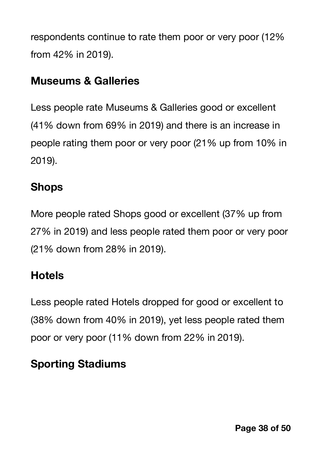respondents continue to rate them poor or very poor (12% from 42% in 2019).

## <span id="page-37-0"></span>**Museums & Galleries**

Less people rate Museums & Galleries good or excellent (41% down from 69% in 2019) and there is an increase in people rating them poor or very poor (21% up from 10% in 2019).

## <span id="page-37-1"></span>**Shops**

More people rated Shops good or excellent (37% up from 27% in 2019) and less people rated them poor or very poor (21% down from 28% in 2019).

## <span id="page-37-2"></span>**Hotels**

Less people rated Hotels dropped for good or excellent to (38% down from 40% in 2019), yet less people rated them poor or very poor (11% down from 22% in 2019).

## <span id="page-37-3"></span>**Sporting Stadiums**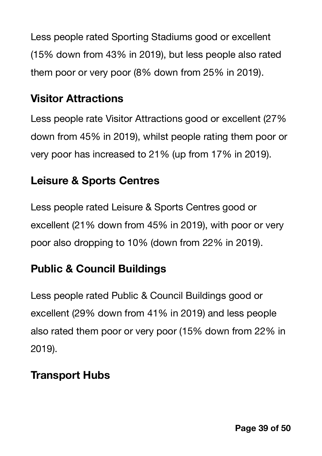Less people rated Sporting Stadiums good or excellent (15% down from 43% in 2019), but less people also rated them poor or very poor (8% down from 25% in 2019).

## <span id="page-38-0"></span>**Visitor Attractions**

Less people rate Visitor Attractions good or excellent (27% down from 45% in 2019), whilst people rating them poor or very poor has increased to 21% (up from 17% in 2019).

## <span id="page-38-1"></span>**Leisure & Sports Centres**

Less people rated Leisure & Sports Centres good or excellent (21% down from 45% in 2019), with poor or very poor also dropping to 10% (down from 22% in 2019).

## <span id="page-38-2"></span>**Public & Council Buildings**

Less people rated Public & Council Buildings good or excellent (29% down from 41% in 2019) and less people also rated them poor or very poor (15% down from 22% in 2019).

## <span id="page-38-3"></span>**Transport Hubs**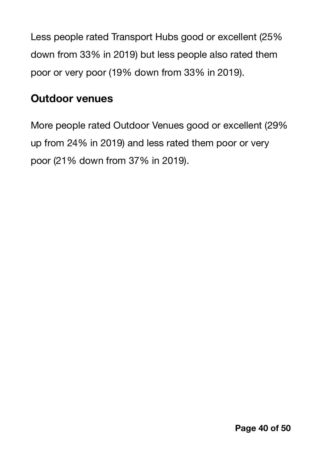Less people rated Transport Hubs good or excellent (25% down from 33% in 2019) but less people also rated them poor or very poor (19% down from 33% in 2019).

#### <span id="page-39-0"></span>**Outdoor venues**

More people rated Outdoor Venues good or excellent (29% up from 24% in 2019) and less rated them poor or very poor (21% down from 37% in 2019).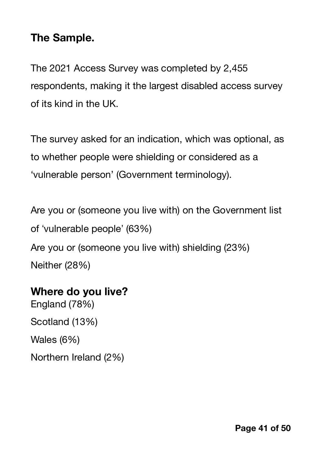#### <span id="page-40-0"></span>**The Sample.**

The 2021 Access Survey was completed by 2,455 respondents, making it the largest disabled access survey of its kind in the UK.

The survey asked for an indication, which was optional, as to whether people were shielding or considered as a 'vulnerable person' (Government terminology).

Are you or (someone you live with) on the Government list of !vulnerable people" (63%) Are you or (someone you live with) shielding (23%)

Neither (28%)

#### <span id="page-40-1"></span>**Where do you live?**

England (78%) Scotland (13%) Wales (6%) Northern Ireland (2%)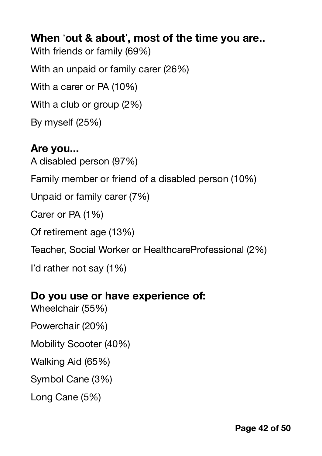<span id="page-41-0"></span>**When** !**out & about**"**, most of the time you are..** With friends or family (69%) With an unpaid or family carer (26%) With a carer or PA (10%) With a club or group (2%) By myself (25%)

# <span id="page-41-1"></span>**Are you...** A disabled person (97%) Family member or friend of a disabled person (10%) Unpaid or family carer (7%) Carer or PA (1%) Of retirement age (13%) Teacher, Social Worker or HealthcareProfessional (2%) I"d rather not say (1%)

#### <span id="page-41-2"></span>**Do you use or have experience of:**

Wheelchair (55%) Powerchair (20%) Mobility Scooter (40%) Walking Aid (65%) Symbol Cane (3%) Long Cane (5%)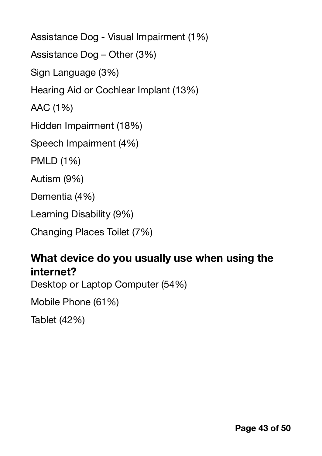Assistance Dog - Visual Impairment (1%) Assistance Dog – Other (3%) Sign Language (3%) Hearing Aid or Cochlear Implant (13%) AAC (1%) Hidden Impairment (18%) Speech Impairment (4%) PMLD (1%) Autism (9%) Dementia (4%) Learning Disability (9%) Changing Places Toilet (7%)

#### <span id="page-42-0"></span>**What device do you usually use when using the internet?**

Desktop or Laptop Computer (54%)

Mobile Phone (61%)

Tablet (42%)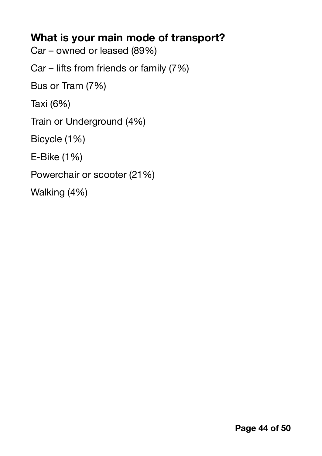## <span id="page-43-0"></span>**What is your main mode of transport?**

Car – owned or leased (89%)

Car – lifts from friends or family (7%)

Bus or Tram (7%)

Taxi (6%)

Train or Underground (4%)

Bicycle (1%)

E-Bike (1%)

Powerchair or scooter (21%)

Walking (4%)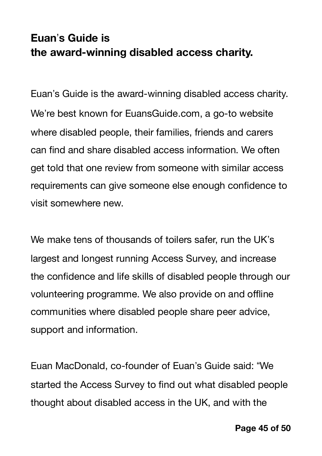## <span id="page-44-1"></span><span id="page-44-0"></span>**Euan**"**s Guide is the award-winning disabled access charity.**

Euan"s Guide is the award-winning disabled access charity. We're best known for EuansGuide.com, a go-to website where disabled people, their families, friends and carers can find and share disabled access information. We often get told that one review from someone with similar access requirements can give someone else enough confidence to visit somewhere new.

We make tens of thousands of toilers safer, run the UK's largest and longest running Access Survey, and increase the confidence and life skills of disabled people through our volunteering programme. We also provide on and offline communities where disabled people share peer advice, support and information.

Euan MacDonald, co-founder of Euan's Guide said: "We started the Access Survey to find out what disabled people thought about disabled access in the UK, and with the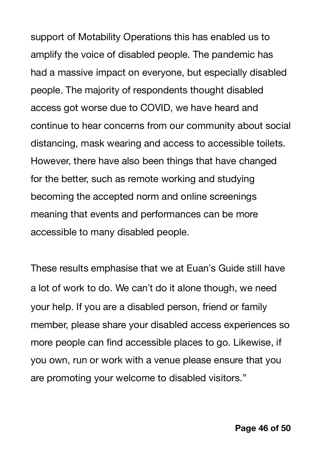support of Motability Operations this has enabled us to amplify the voice of disabled people. The pandemic has had a massive impact on everyone, but especially disabled people. The majority of respondents thought disabled access got worse due to COVID, we have heard and continue to hear concerns from our community about social distancing, mask wearing and access to accessible toilets. However, there have also been things that have changed for the better, such as remote working and studying becoming the accepted norm and online screenings meaning that events and performances can be more accessible to many disabled people.

These results emphasise that we at Euan"s Guide still have a lot of work to do. We can"t do it alone though, we need your help. If you are a disabled person, friend or family member, please share your disabled access experiences so more people can find accessible places to go. Likewise, if you own, run or work with a venue please ensure that you are promoting your welcome to disabled visitors."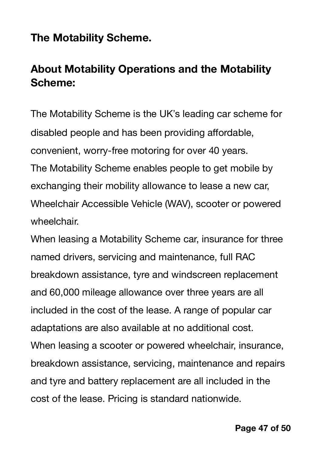### <span id="page-46-0"></span>**The Motability Scheme.**

## <span id="page-46-1"></span>**About Motability Operations and the Motability Scheme:**

The Motability Scheme is the UK"s leading car scheme for disabled people and has been providing affordable, convenient, worry-free motoring for over 40 years. The Motability Scheme enables people to get mobile by exchanging their mobility allowance to lease a new car, Wheelchair Accessible Vehicle (WAV), scooter or powered wheelchair.

When leasing a Motability Scheme car, insurance for three named drivers, servicing and maintenance, full RAC breakdown assistance, tyre and windscreen replacement and 60,000 mileage allowance over three years are all included in the cost of the lease. A range of popular car adaptations are also available at no additional cost. When leasing a scooter or powered wheelchair, insurance, breakdown assistance, servicing, maintenance and repairs and tyre and battery replacement are all included in the cost of the lease. Pricing is standard nationwide.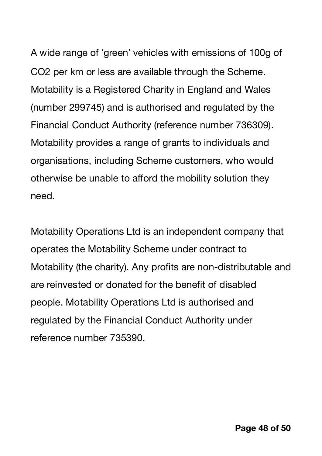A wide range of 'green' vehicles with emissions of 100g of CO2 per km or less are available through the Scheme. Motability is a Registered Charity in England and Wales (number 299745) and is authorised and regulated by the Financial Conduct Authority (reference number 736309). Motability provides a range of grants to individuals and organisations, including Scheme customers, who would otherwise be unable to afford the mobility solution they need.

Motability Operations Ltd is an independent company that operates the Motability Scheme under contract to Motability (the charity). Any profits are non-distributable and are reinvested or donated for the benefit of disabled people. Motability Operations Ltd is authorised and regulated by the Financial Conduct Authority under reference number 735390.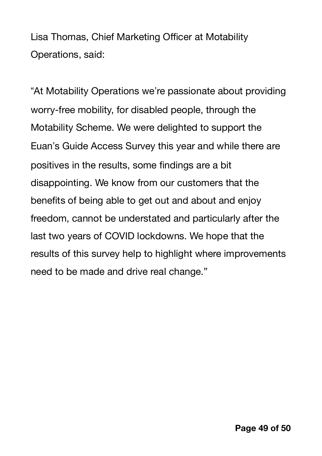Lisa Thomas, Chief Marketing Officer at Motability Operations, said:

"At Motability Operations we're passionate about providing worry-free mobility, for disabled people, through the Motability Scheme. We were delighted to support the Euan"s Guide Access Survey this year and while there are positives in the results, some findings are a bit disappointing. We know from our customers that the benefits of being able to get out and about and enjoy freedom, cannot be understated and particularly after the last two years of COVID lockdowns. We hope that the results of this survey help to highlight where improvements need to be made and drive real change."